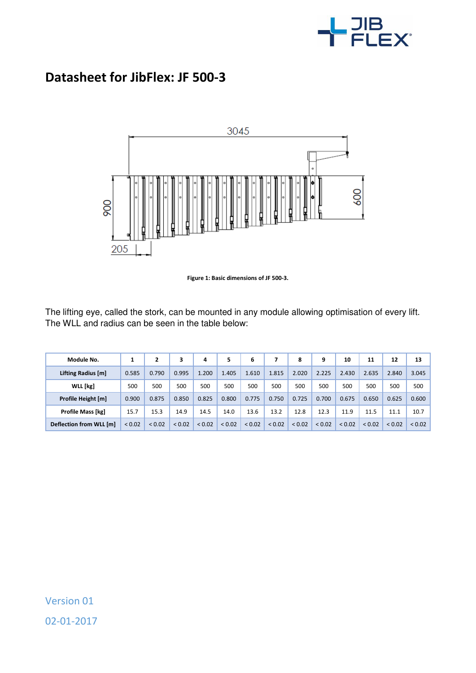

## **Datasheet for JibFlex: JF 500-3**



**Figure 1: Basic dimensions of JF 500-3.** 

The lifting eye, called the stork, can be mounted in any module allowing optimisation of every lift. The WLL and radius can be seen in the table below:

| Module No.              |             |        | 3           | 4           | 5      | 6      |        | 8           | 9           | 10          | 11          | 12     | 13     |
|-------------------------|-------------|--------|-------------|-------------|--------|--------|--------|-------------|-------------|-------------|-------------|--------|--------|
| Lifting Radius [m]      | 0.585       | 0.790  | 0.995       | 1.200       | 1.405  | 1.610  | 1.815  | 2.020       | 2.225       | 2.430       | 2.635       | 2.840  | 3.045  |
| WLL [kg]                | 500         | 500    | 500         | 500         | 500    | 500    | 500    | 500         | 500         | 500         | 500         | 500    | 500    |
| Profile Height [m]      | 0.900       | 0.875  | 0.850       | 0.825       | 0.800  | 0.775  | 0.750  | 0.725       | 0.700       | 0.675       | 0.650       | 0.625  | 0.600  |
| Profile Mass [kg]       | 15.7        | 15.3   | 14.9        | 14.5        | 14.0   | 13.6   | 13.2   | 12.8        | 12.3        | 11.9        | 11.5        | 11.1   | 10.7   |
| Deflection from WLL [m] | ${}_{0.02}$ | < 0.02 | ${}_{0.02}$ | ${}_{0.02}$ | < 0.02 | < 0.02 | < 0.02 | ${}_{0.02}$ | ${}_{0.02}$ | ${}_{0.02}$ | ${}_{0.02}$ | < 0.02 | < 0.02 |